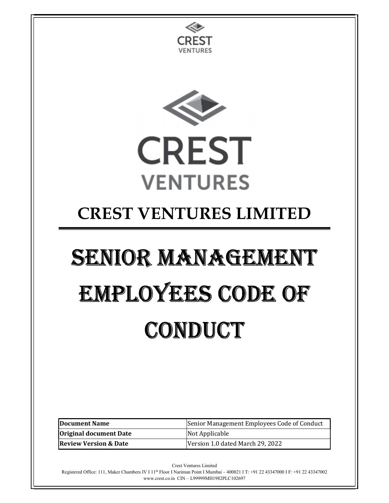

www.crest.co.in CIN – L99999MH1982PLC102697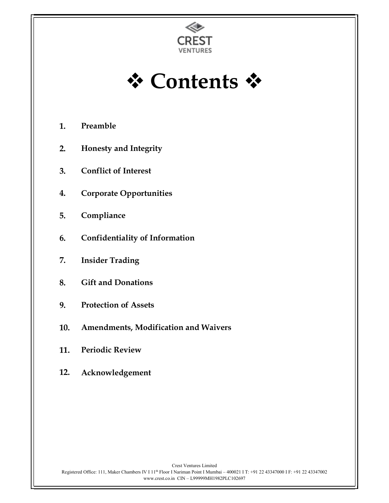



- 1. Preamble
- 2. Honesty and Integrity
- 3. Conflict of Interest
- 4. Corporate Opportunities
- 5. Compliance
- 6. Confidentiality of Information
- 7. Insider Trading
- 8. Gift and Donations
- 9. Protection of Assets
- 10. Amendments, Modification and Waivers
- 11. Periodic Review
- 12. Acknowledgement

Crest Ventures Limited Registered Office: 111, Maker Chambers IV I 11<sup>th</sup> Floor I Nariman Point I Mumbai – 400021 I T: +91 22 43347000 I F: +91 22 43347002 www.crest.co.in CIN – L99999MH1982PLC102697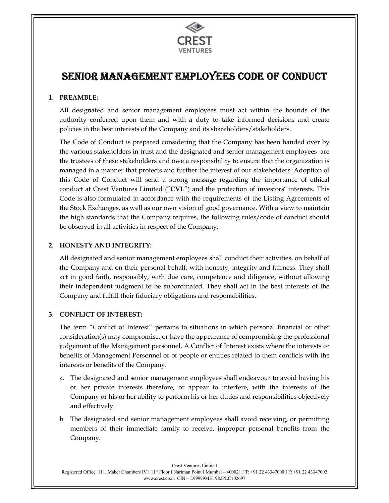

# SENIOR MANAGEMENT EMPLOYEES CODE OF CONDUCT

## 1. PREAMBLE:

All designated and senior management employees must act within the bounds of the authority conferred upon them and with a duty to take informed decisions and create policies in the best interests of the Company and its shareholders/stakeholders.

The Code of Conduct is prepared considering that the Company has been handed over by the various stakeholders in trust and the designated and senior management employees are the trustees of these stakeholders and owe a responsibility to ensure that the organization is managed in a manner that protects and further the interest of our stakeholders. Adoption of this Code of Conduct will send a strong message regarding the importance of ethical conduct at Crest Ventures Limited ("CVL") and the protection of investors' interests. This Code is also formulated in accordance with the requirements of the Listing Agreements of the Stock Exchanges, as well as our own vision of good governance. With a view to maintain the high standards that the Company requires, the following rules/code of conduct should be observed in all activities in respect of the Company.

## 2. HONESTY AND INTEGRITY:

All designated and senior management employees shall conduct their activities, on behalf of the Company and on their personal behalf, with honesty, integrity and fairness. They shall act in good faith, responsibly, with due care, competence and diligence, without allowing their independent judgment to be subordinated. They shall act in the best interests of the Company and fulfill their fiduciary obligations and responsibilities.

# 3. CONFLICT OF INTEREST:

The term "Conflict of Interest" pertains to situations in which personal financial or other consideration(s) may compromise, or have the appearance of compromising the professional judgement of the Management personnel. A Conflict of Interest exists where the interests or benefits of Management Personnel or of people or entities related to them conflicts with the interests or benefits of the Company.

- a. The designated and senior management employees shall endeavour to avoid having his or her private interests therefore, or appear to interfere, with the interests of the Company or his or her ability to perform his or her duties and responsibilities objectively and effectively.
- b. The designated and senior management employees shall avoid receiving, or permitting members of their immediate family to receive, improper personal benefits from the Company.

Crest Ventures Limited Registered Office: 111, Maker Chambers IV I 11th Floor I Nariman Point I Mumbai – 400021 I T: +91 22 43347000 I F: +91 22 43347002 www.crest.co.in CIN – L99999MH1982PLC102697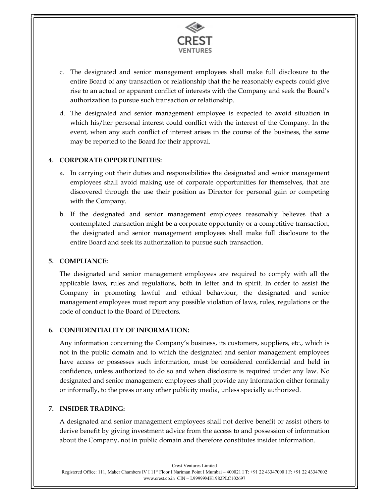

- c. The designated and senior management employees shall make full disclosure to the entire Board of any transaction or relationship that the he reasonably expects could give rise to an actual or apparent conflict of interests with the Company and seek the Board's authorization to pursue such transaction or relationship.
- d. The designated and senior management employee is expected to avoid situation in which his/her personal interest could conflict with the interest of the Company. In the event, when any such conflict of interest arises in the course of the business, the same may be reported to the Board for their approval.

## 4. CORPORATE OPPORTUNITIES:

- a. In carrying out their duties and responsibilities the designated and senior management employees shall avoid making use of corporate opportunities for themselves, that are discovered through the use their position as Director for personal gain or competing with the Company.
- b. If the designated and senior management employees reasonably believes that a contemplated transaction might be a corporate opportunity or a competitive transaction, the designated and senior management employees shall make full disclosure to the entire Board and seek its authorization to pursue such transaction.

#### 5. COMPLIANCE:

The designated and senior management employees are required to comply with all the applicable laws, rules and regulations, both in letter and in spirit. In order to assist the Company in promoting lawful and ethical behaviour, the designated and senior management employees must report any possible violation of laws, rules, regulations or the code of conduct to the Board of Directors.

# 6. CONFIDENTIALITY OF INFORMATION:

Any information concerning the Company's business, its customers, suppliers, etc., which is not in the public domain and to which the designated and senior management employees have access or possesses such information, must be considered confidential and held in confidence, unless authorized to do so and when disclosure is required under any law. No designated and senior management employees shall provide any information either formally or informally, to the press or any other publicity media, unless specially authorized.

# 7. INSIDER TRADING:

A designated and senior management employees shall not derive benefit or assist others to derive benefit by giving investment advice from the access to and possession of information about the Company, not in public domain and therefore constitutes insider information.

Crest Ventures Limited Registered Office: 111, Maker Chambers IV I 11th Floor I Nariman Point I Mumbai – 400021 I T: +91 22 43347000 I F: +91 22 43347002 www.crest.co.in CIN – L99999MH1982PLC102697